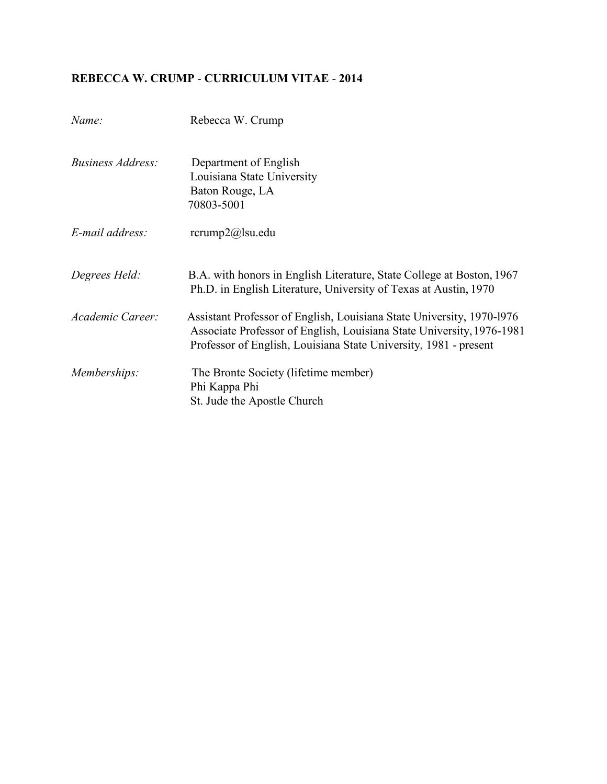# **REBECCA W. CRUMP** - **CURRICULUM VITAE** - **2014**

| Name:                    | Rebecca W. Crump                                                                                                                                                                                                   |
|--------------------------|--------------------------------------------------------------------------------------------------------------------------------------------------------------------------------------------------------------------|
| <i>Business Address:</i> | Department of English<br>Louisiana State University<br>Baton Rouge, LA<br>70803-5001                                                                                                                               |
| E-mail address:          | $rcrump2(a)$ su.edu                                                                                                                                                                                                |
| Degrees Held:            | B.A. with honors in English Literature, State College at Boston, 1967<br>Ph.D. in English Literature, University of Texas at Austin, 1970                                                                          |
| Academic Career:         | Assistant Professor of English, Louisiana State University, 1970-1976<br>Associate Professor of English, Louisiana State University, 1976-1981<br>Professor of English, Louisiana State University, 1981 - present |
| Memberships:             | The Bronte Society (lifetime member)<br>Phi Kappa Phi<br>St. Jude the Apostle Church                                                                                                                               |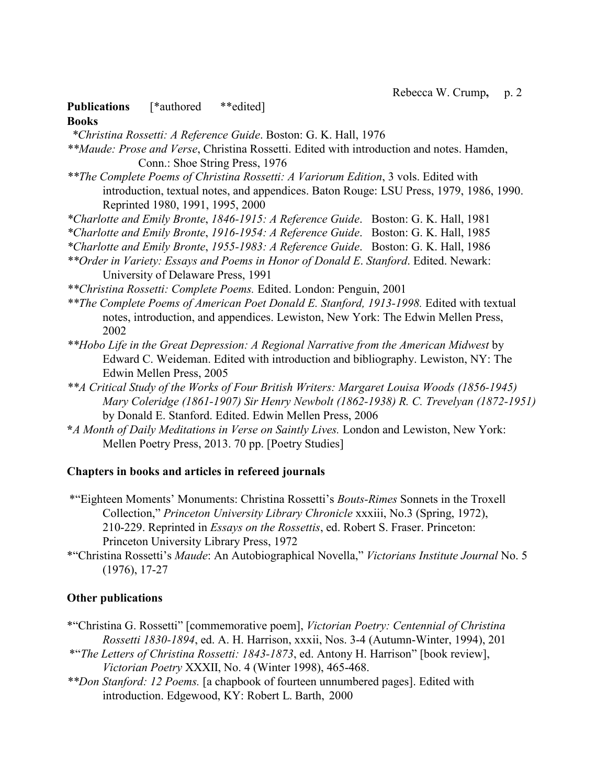# **Publications** [\*authored \*\*edited]

#### **Books**

*\*Christina Rossetti: A Reference Guide*. Boston: G. K. Hall, 1976

*\*\*Maude: Prose and Verse*, Christina Rossetti. Edited with introduction and notes. Hamden, Conn.: Shoe String Press, 1976

*\*\*The Complete Poems of Christina Rossetti: A Variorum Edition*, 3 vols. Edited with introduction, textual notes, and appendices. Baton Rouge: LSU Press, 1979, 1986, 1990. Reprinted 1980, 1991, 1995, 2000

*\*Charlotte and Emily Bronte*, *1846-1915: A Reference Guide*. Boston: G. K. Hall, 1981

*\*Charlotte and Emily Bronte*, *1916-1954: A Reference Guide*. Boston: G. K. Hall, 1985

*\*Charlotte and Emily Bronte*, *1955-1983: A Reference Guide*. Boston: G. K. Hall, 1986

*\*\*Order in Variety: Essays and Poems in Honor of Donald E*. *Stanford*. Edited. Newark: University of Delaware Press, 1991

*\*\*Christina Rossetti: Complete Poems.* Edited. London: Penguin, 2001

\*\*The Complete Poems of American Poet Donald E. Stanford, 1913-1998. Edited with textual notes, introduction, and appendices. Lewiston, New York: The Edwin Mellen Press, 2002

- *\*\*Hobo Life in the Great Depression: A Regional Narrative from the American Midwest* by Edward C. Weideman. Edited with introduction and bibliography. Lewiston, NY: The Edwin Mellen Press, 2005
- *\*\*A Critical Study of the Works of Four British Writers: Margaret Louisa Woods (1856-1945) Mary Coleridge (1861-1907) Sir Henry Newbolt (1862-1938) R. C. Trevelyan (1872-1951)*  by Donald E. Stanford. Edited. Edwin Mellen Press, 2006
- **\****A Month of Daily Meditations in Verse on Saintly Lives.* London and Lewiston, New York: Mellen Poetry Press, 2013. 70 pp. [Poetry Studies]

# **Chapters in books and articles in refereed journals**

\*"Eighteen Moments' Monuments: Christina Rossetti's *Bouts-Rimes* Sonnets in the Troxell Collection," *Princeton University Library Chronicle* xxxiii, No.3 (Spring, 1972), 210-229. Reprinted in *Essays on the Rossettis*, ed. Robert S. Fraser. Princeton: Princeton University Library Press, 1972

\*"Christina Rossetti's *Maude*: An Autobiographical Novella," *Victorians Institute Journal* No. 5 (1976), 17-27

# **Other publications**

- \*"Christina G. Rossetti" [commemorative poem], *Victorian Poetry: Centennial of Christina Rossetti 1830-1894*, ed. A. H. Harrison, xxxii, Nos. 3-4 (Autumn-Winter, 1994), 201
- \*"*The Letters of Christina Rossetti: 1843-1873*, ed. Antony H. Harrison" [book review], *Victorian Poetry* XXXII, No. 4 (Winter 1998), 465-468.
- *\*\*Don Stanford: 12 Poems.* [a chapbook of fourteen unnumbered pages]. Edited with introduction. Edgewood, KY: Robert L. Barth, 2000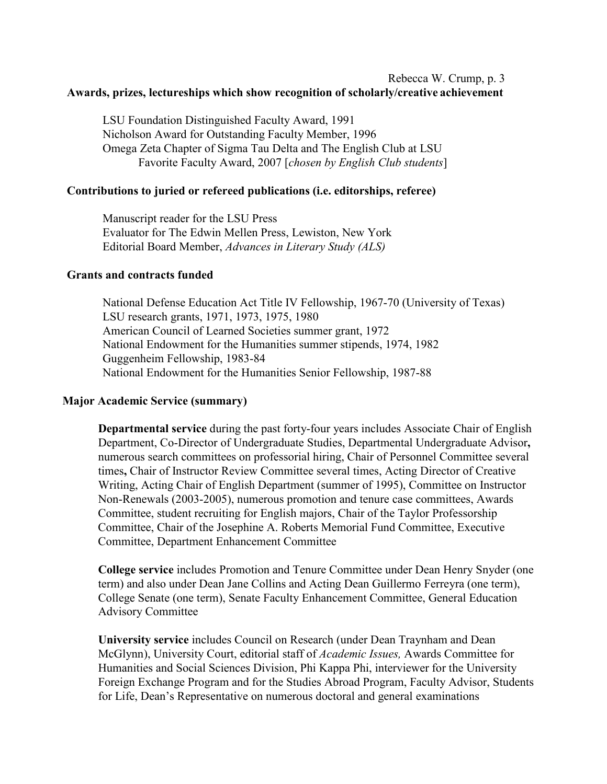# Rebecca W. Crump, p. 3 **Awards, prizes, lectureships which show recognition of scholarly/creative achievement**

LSU Foundation Distinguished Faculty Award, 1991 Nicholson Award for Outstanding Faculty Member, 1996 Omega Zeta Chapter of Sigma Tau Delta and The English Club at LSU Favorite Faculty Award, 2007 [*chosen by English Club students*]

#### **Contributions to juried or refereed publications (i.e. editorships, referee)**

Manuscript reader for the LSU Press Evaluator for The Edwin Mellen Press, Lewiston, New York Editorial Board Member, *Advances in Literary Study (ALS)*

#### **Grants and contracts funded**

National Defense Education Act Title IV Fellowship, 1967-70 (University of Texas) LSU research grants, 1971, 1973, 1975, 1980 American Council of Learned Societies summer grant, 1972 National Endowment for the Humanities summer stipends, 1974, 1982 Guggenheim Fellowship, 1983-84 National Endowment for the Humanities Senior Fellowship, 1987-88

#### **Major Academic Service (summary)**

**Departmental service** during the past forty-four years includes Associate Chair of English Department, Co-Director of Undergraduate Studies, Departmental Undergraduate Advisor**,**  numerous search committees on professorial hiring, Chair of Personnel Committee several times**,** Chair of Instructor Review Committee several times, Acting Director of Creative Writing, Acting Chair of English Department (summer of 1995), Committee on Instructor Non-Renewals (2003-2005), numerous promotion and tenure case committees, Awards Committee, student recruiting for English majors, Chair of the Taylor Professorship Committee, Chair of the Josephine A. Roberts Memorial Fund Committee, Executive Committee, Department Enhancement Committee

**College service** includes Promotion and Tenure Committee under Dean Henry Snyder (one term) and also under Dean Jane Collins and Acting Dean Guillermo Ferreyra (one term), College Senate (one term), Senate Faculty Enhancement Committee, General Education Advisory Committee

**University service** includes Council on Research (under Dean Traynham and Dean McGlynn), University Court, editorial staff of *Academic Issues,* Awards Committee for Humanities and Social Sciences Division, Phi Kappa Phi, interviewer for the University Foreign Exchange Program and for the Studies Abroad Program, Faculty Advisor, Students for Life, Dean's Representative on numerous doctoral and general examinations